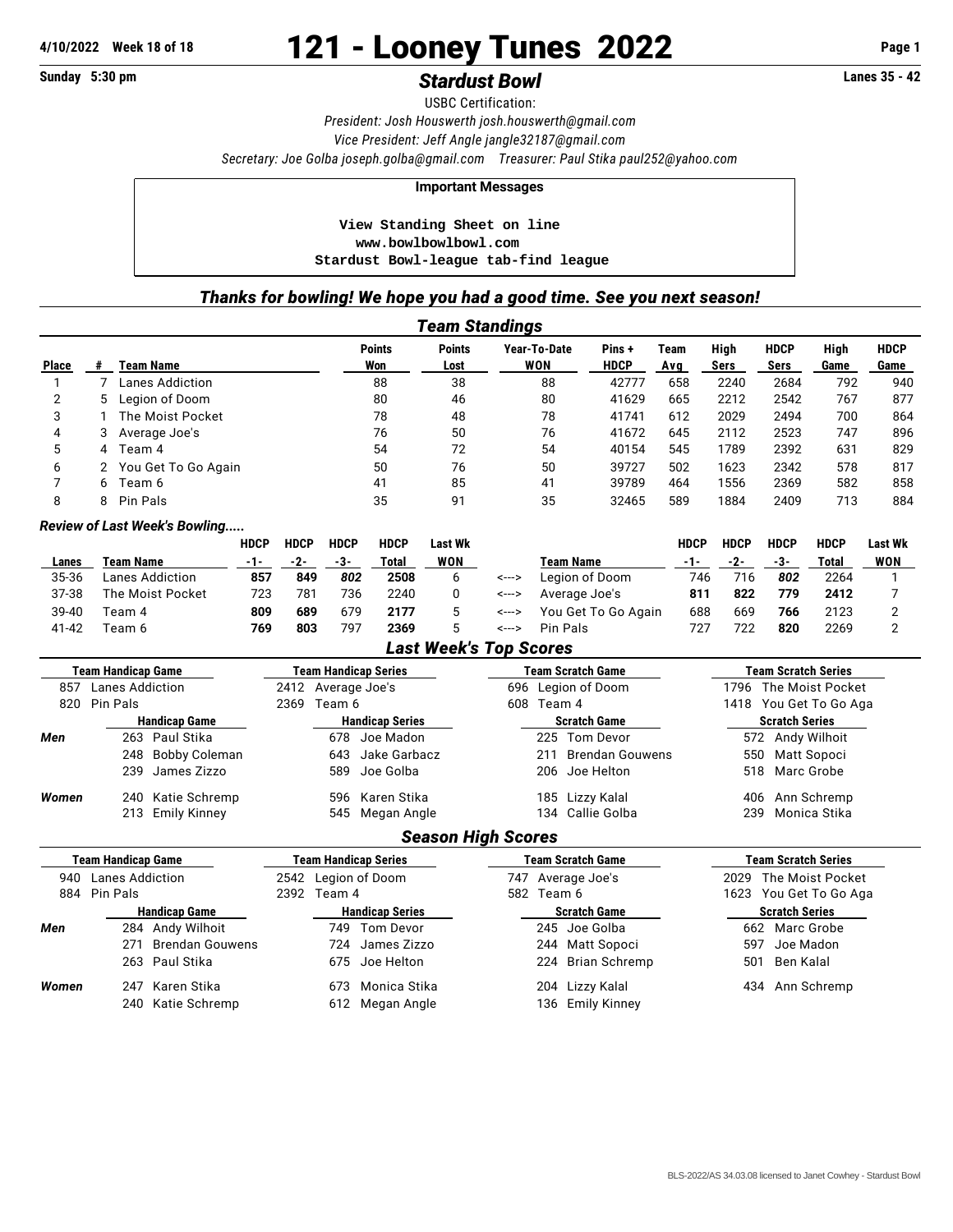# **4/10/2022 Week 18 of 18** 121 - Looney Tunes 2022 **Page 1**

## **Sunday 5:30 pm** *Stardust Bowl* **Lanes 35 - 42**

USBC Certification: *President: Josh Houswerth [josh.houswerth@gmail.com](mailto:josh.houswerth@gmail.com) Vice President: Jeff Angle [jangle32187@gmail.com](mailto:jangle32187@gmail.com) Secretary: Joe Golba [joseph.golba@gmail.com](mailto:joseph.golba@gmail.com) Treasurer: Paul Stika [paul252@yahoo.com](mailto:paul252@yahoo.com)*

### **Important Messages**

 **View Standing Sheet on line <www.bowlbowlbowl.com> Stardust Bowl-league tab-find league**

## *Thanks for bowling! We hope you had a good time. See you next season!*

| Team Standings |   |                     |                      |                       |                            |                      |             |              |                     |              |                     |
|----------------|---|---------------------|----------------------|-----------------------|----------------------------|----------------------|-------------|--------------|---------------------|--------------|---------------------|
| <b>Place</b>   |   | Team Name           | <b>Points</b><br>Won | <b>Points</b><br>Lost | Year-To-Date<br><b>WON</b> | Pins+<br><b>HDCP</b> | Team<br>Avg | High<br>Sers | <b>HDCP</b><br>Sers | High<br>Game | <b>HDCP</b><br>Game |
|                |   | Lanes Addiction     | 88                   | 38                    | 88                         | 42777                | 658         | 2240         | 2684                | 792          | 940                 |
| 2              |   | 5 Legion of Doom    | 80                   | 46                    | 80                         | 41629                | 665         | 2212         | 2542                | 767          | 877                 |
| 3              |   | The Moist Pocket    | 78                   | 48                    | 78                         | 41741                | 612         | 2029         | 2494                | 700          | 864                 |
| 4              | 3 | Average Joe's       | 76                   | 50                    | 76                         | 41672                | 645         | 2112         | 2523                | 747          | 896                 |
| 5              | 4 | Team 4              | 54                   | 72                    | 54                         | 40154                | 545         | 1789         | 2392                | 631          | 829                 |
| 6              |   | You Get To Go Again | 50                   | 76                    | 50                         | 39727                | 502         | 1623         | 2342                | 578          | 817                 |
|                | 6 | Team 6              | 41                   | 85                    | 41                         | 39789                | 464         | 1556         | 2369                | 582          | 858                 |
| 8              | 8 | Pin Pals            | 35                   | 91                    | 35                         | 32465                | 589         | 1884         | 2409                | 713          | 884                 |

#### *Review of Last Week's Bowling.....*

|       |                  | <b>HDCP</b> | <b>HDCP</b> | <b>HDCP</b> | <b>HDCP</b> | Last Wk    |       |                     | HDCP | <b>HDCP</b> | <b>HDCP</b> | <b>HDCP</b> | <b>Last Wk</b> |
|-------|------------------|-------------|-------------|-------------|-------------|------------|-------|---------------------|------|-------------|-------------|-------------|----------------|
| Lanes | Team Name        | -1-         | -2-         | -3-         | Total       | <b>WON</b> |       | Team Name           | -1-  | -2-         | -3-         | Total       | <b>WON</b>     |
| 35-36 | Lanes Addiction  | 857         | 849         | 802         | 2508        |            | <---> | Legion of Doom      | 746  | 716         | 802         | 2264        |                |
| 37-38 | The Moist Pocket | 723         | 781         | 736         | 2240        |            | <---> | Average Joe's       | 811  | 822         | 779         | 2412        |                |
| 39-40 | Team 4           | 809         | 689         | 679         | 2177        |            | <---> | You Get To Go Again | 688  | 669         | 766         | 2123        |                |
| 41-42 | Геаm 6           | 769         | 803         | 797         | 2369        |            | <---> | Pin Pals            | 727  | 722         | 820         | 2269        |                |

## *Last Week's Top Scores*

|                      | <b>Team Handicap Game</b> | Team Handicap Series   | <b>Team Scratch Game</b> | <b>Team Scratch Series</b> |  |  |  |  |  |  |  |
|----------------------|---------------------------|------------------------|--------------------------|----------------------------|--|--|--|--|--|--|--|
| 857                  | <b>Lanes Addiction</b>    | 2412 Average Joe's     | 696 Legion of Doom       | 1796 The Moist Pocket      |  |  |  |  |  |  |  |
| 820                  | Pin Pals                  | Team 6<br>2369         | Team 4<br>608            | 1418 You Get To Go Aga     |  |  |  |  |  |  |  |
| <b>Handicap Game</b> |                           | <b>Handicap Series</b> | <b>Scratch Game</b>      | <b>Scratch Series</b>      |  |  |  |  |  |  |  |
| Men                  | 263 Paul Stika            | Joe Madon<br>678       | 225 Tom Devor            | 572 Andy Wilhoit           |  |  |  |  |  |  |  |
|                      | 248 Bobby Coleman         | Jake Garbacz<br>643    | Brendan Gouwens<br>211   | Matt Sopoci<br>550         |  |  |  |  |  |  |  |
|                      | 239 James Zizzo           | 589 Joe Golba          | 206 Joe Helton           | 518 Marc Grobe             |  |  |  |  |  |  |  |
| Women                | 240 Katie Schremp         | 596 Karen Stika        | 185 Lizzy Kalal          | Ann Schremp<br>406         |  |  |  |  |  |  |  |
|                      | 213 Emily Kinney          | 545 Megan Angle        | 134 Callie Golba         | Monica Stika<br>239        |  |  |  |  |  |  |  |
|                      | <b>Season High Scores</b> |                        |                          |                            |  |  |  |  |  |  |  |

|                               | <b>Team Handicap Game</b> | <b>Team Handicap Series</b> |                 |            | <b>Team Scratch Game</b> | <b>Team Scratch Series</b> |             |  |  |
|-------------------------------|---------------------------|-----------------------------|-----------------|------------|--------------------------|----------------------------|-------------|--|--|
| <b>Lanes Addiction</b><br>940 |                           | 2542 Legion of Doom         |                 |            | 747 Average Joe's        | 2029 The Moist Pocket      |             |  |  |
|                               | 884 Pin Pals              | 2392 Team 4                 |                 | 582 Team 6 |                          | 1623 You Get To Go Aga     |             |  |  |
| <b>Handicap Game</b>          |                           | <b>Handicap Series</b>      |                 |            | <b>Scratch Game</b>      | <b>Scratch Series</b>      |             |  |  |
| Men                           | 284 Andy Wilhoit          | 749.                        | Tom Devor       |            | 245 Joe Golba            | 662                        | Marc Grobe  |  |  |
|                               | 271 Brendan Gouwens       |                             | 724 James Zizzo |            | 244 Matt Sopoci          | 597                        | Joe Madon   |  |  |
|                               | 263 Paul Stika            |                             | 675 Joe Helton  |            | 224 Brian Schremp        | 501                        | Ben Kalal   |  |  |
| Women                         | 247 Karen Stika           | 673                         | Monica Stika    |            | 204 Lizzy Kalal          | 434                        | Ann Schremp |  |  |
|                               | 240 Katie Schremp         |                             | 612 Megan Angle |            | 136 Emily Kinney         |                            |             |  |  |